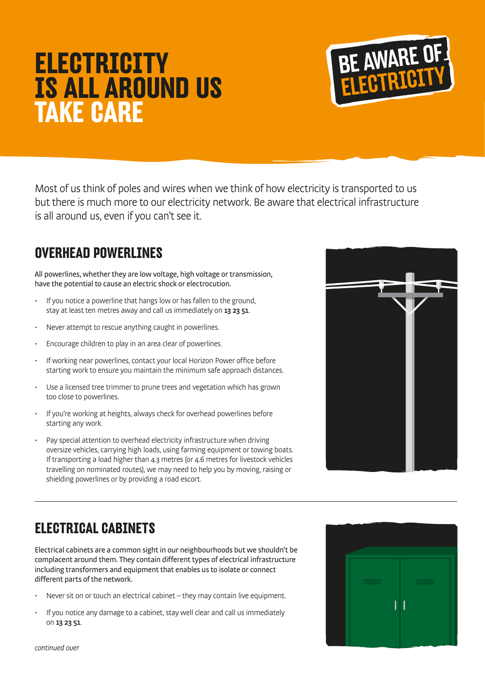# **ELECTRICITY IS ALL AROUND US TAKE CARE**



Most of us think of poles and wires when we think of how electricity is transported to us but there is much more to our electricity network. Be aware that electrical infrastructure is all around us, even if you can't see it.

## **OVERHEAD POWERLINES**

All powerlines, whether they are low voltage, high voltage or transmission, have the potential to cause an electric shock or electrocution.

- If you notice a powerline that hangs low or has fallen to the ground, stay at least ten metres away and call us immediately on 13 23 51.
- Never attempt to rescue anything caught in powerlines.
- Encourage children to play in an area clear of powerlines.
- If working near powerlines, contact your local Horizon Power office before starting work to ensure you maintain the minimum safe approach distances.
- Use a licensed tree trimmer to prune trees and vegetation which has grown too close to powerlines.
- If you're working at heights, always check for overhead powerlines before starting any work.
- Pay special attention to overhead electricity infrastructure when driving oversize vehicles, carrying high loads, using farming equipment or towing boats. If transporting a load higher than 4.3 metres (or 4.6 metres for livestock vehicles travelling on nominated routes), we may need to help you by moving, raising or shielding powerlines or by providing a road escort.



# **ELECTRICAL CABINETS**

Electrical cabinets are a common sight in our neighbourhoods but we shouldn't be complacent around them. They contain different types of electrical infrastructure including transformers and equipment that enables us to isolate or connect different parts of the network.

- Never sit on or touch an electrical cabinet they may contain live equipment.
- If you notice any damage to a cabinet, stay well clear and call us immediately on 13 23 51.